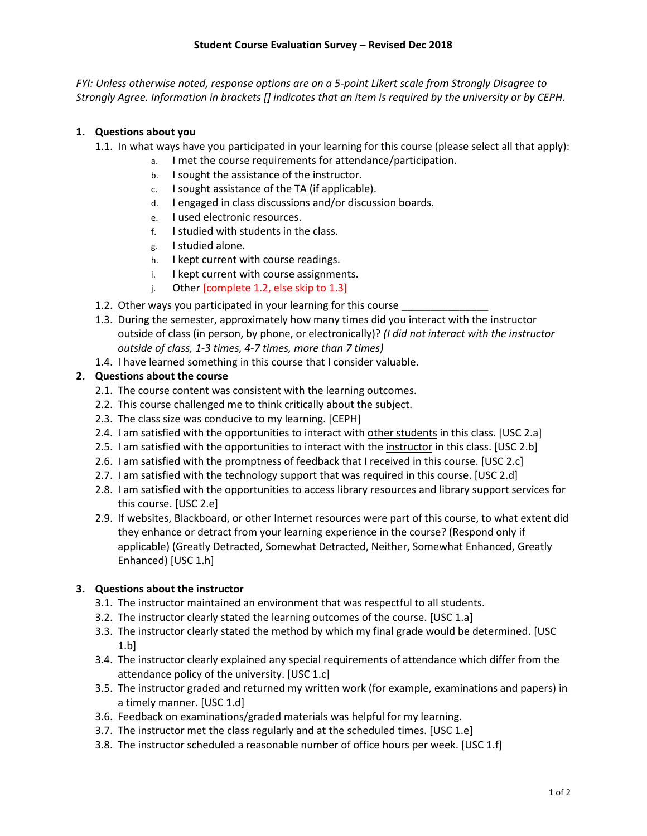*FYI: Unless otherwise noted, response options are on a 5-point Likert scale from Strongly Disagree to Strongly Agree. Information in brackets [] indicates that an item is required by the university or by CEPH.*

## **1. Questions about you**

- 1.1. In what ways have you participated in your learning for this course (please select all that apply):
	- a. I met the course requirements for attendance/participation.
	- b. I sought the assistance of the instructor.
	- c. I sought assistance of the TA (if applicable).
	- d. I engaged in class discussions and/or discussion boards.
	- e. I used electronic resources.
	- f. I studied with students in the class.
	- g. I studied alone.
	- h. I kept current with course readings.
	- i. I kept current with course assignments.
	- j. Other [complete 1.2, else skip to 1.3]
- 1.2. Other ways you participated in your learning for this course
- 1.3. During the semester, approximately how many times did you interact with the instructor outside of class (in person, by phone, or electronically)? *(I did not interact with the instructor outside of class, 1-3 times, 4-7 times, more than 7 times)*
- 1.4. I have learned something in this course that I consider valuable.

## **2. Questions about the course**

- 2.1. The course content was consistent with the learning outcomes.
- 2.2. This course challenged me to think critically about the subject.
- 2.3. The class size was conducive to my learning. [CEPH]
- 2.4. I am satisfied with the opportunities to interact with other students in this class. [USC 2.a]
- 2.5. I am satisfied with the opportunities to interact with the instructor in this class. [USC 2.b]
- 2.6. I am satisfied with the promptness of feedback that I received in this course. [USC 2.c]
- 2.7. I am satisfied with the technology support that was required in this course. [USC 2.d]
- 2.8. I am satisfied with the opportunities to access library resources and library support services for this course. [USC 2.e]
- 2.9. If websites, Blackboard, or other Internet resources were part of this course, to what extent did they enhance or detract from your learning experience in the course? (Respond only if applicable) (Greatly Detracted, Somewhat Detracted, Neither, Somewhat Enhanced, Greatly Enhanced) [USC 1.h]

## **3. Questions about the instructor**

- 3.1. The instructor maintained an environment that was respectful to all students.
- 3.2. The instructor clearly stated the learning outcomes of the course. [USC 1.a]
- 3.3. The instructor clearly stated the method by which my final grade would be determined. [USC 1.b]
- 3.4. The instructor clearly explained any special requirements of attendance which differ from the attendance policy of the university. [USC 1.c]
- 3.5. The instructor graded and returned my written work (for example, examinations and papers) in a timely manner. [USC 1.d]
- 3.6. Feedback on examinations/graded materials was helpful for my learning.
- 3.7. The instructor met the class regularly and at the scheduled times. [USC 1.e]
- 3.8. The instructor scheduled a reasonable number of office hours per week. [USC 1.f]